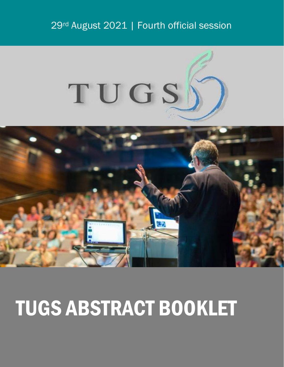## 29rd August 2021 | Fourth official session



## TUGS ABSTRACT BOOKLET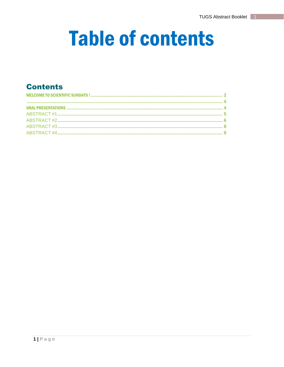## **Table of contents**

## **Contents**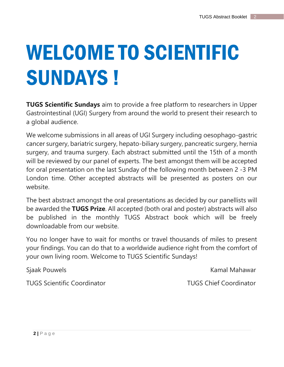# <span id="page-2-0"></span>WELCOME TO SCIENTIFIC SUNDAYS !

**TUGS Scientific Sundays** aim to provide a free platform to researchers in Upper Gastrointestinal (UGI) Surgery from around the world to present their research to a global audience.

We welcome submissions in all areas of UGI Surgery including oesophago-gastric cancer surgery, bariatric surgery, hepato-biliary surgery, pancreatic surgery, hernia surgery, and trauma surgery. Each abstract submitted until the 15th of a month will be reviewed by our panel of experts. The best amongst them will be accepted for oral presentation on the last Sunday of the following month between 2 -3 PM London time. Other accepted abstracts will be presented as posters on our website.

The best abstract amongst the oral presentations as decided by our panellists will be awarded the **TUGS Prize**. All accepted (both oral and poster) abstracts will also be published in the monthly TUGS Abstract book which will be freely downloadable from our website.

You no longer have to wait for months or travel thousands of miles to present your findings. You can do that to a worldwide audience right from the comfort of your own living room. Welcome to TUGS Scientific Sundays!

TUGS Scientific Coordinator TUGS Chief Coordinator

Sjaak Pouwels **Kamal Mahawar** Kamal Mahawar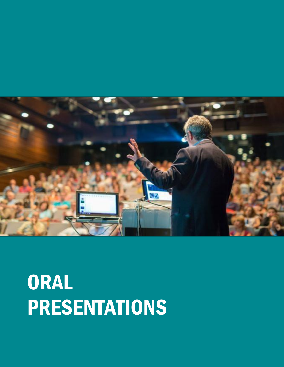<span id="page-4-0"></span>

## **ORAL** PRESENTATIONS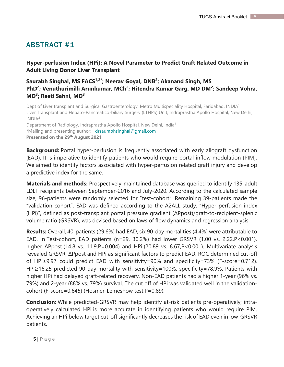<span id="page-5-0"></span>**Hyper-perfusion Index (HPi): A Novel Parameter to Predict Graft Related Outcome in Adult Living Donor Liver Transplant**

### **Saurabh Singhal, MS FACS1,2\* ; Neerav Goyal, DNB<sup>2</sup> ; Akanand Singh, MS**  PhD<sup>2</sup>; Venuthurimilli Arunkumar, MCh<sup>2</sup>; Hitendra Kumar Garg, MD DM<sup>2</sup>; Sandeep Vohra, **MD<sup>3</sup> ; Reeti Sahni, MD<sup>3</sup>**

Dept of Liver transplant and Surgical Gastroenterology, Metro Multispeciality Hospital, Faridabad, INDIA<sup>1</sup> Liver Transplant and Hepato-Pancreatico-biliary Surgery (LTHPS) Unit, Indraprastha Apollo Hospital, New Delhi,  $INDIA<sup>2</sup>$ 

Department of Radiology, Indraprastha Apollo Hospital, New Delhi, India<sup>3</sup> \*Mailing and presenting author: drsaurabhsinghal@gmail.com **Presented on the 29 th August 2021**

**Background:** Portal hyper-perfusion is frequently associated with early allograft dysfunction (EAD). It is imperative to identify patients who would require portal inflow modulation (PIM). We aimed to identify factors associated with hyper-perfusion related graft injury and develop a predictive index for the same.

**Materials and methods:** Prospectively-maintained database was queried to identify 135-adult LDLT recipients between September-2016 and July-2020. According to the calculated sample size, 96-patients were randomly selected for "test-cohort". Remaining 39-patients made the "validation-cohort". EAD was defined according to the A2ALL study. "Hyper-perfusion index (HPi)", defined as post-transplant portal pressure gradient (ΔPpost)/graft-to-recipient-splenic volume ratio (GRSVR), was devised based on laws of flow dynamics and regression analysis.

**Results:** Overall, 40-patients (29.6%) had EAD, six 90-day mortalities (4.4%) were attributable to EAD. In Test-cohort, EAD patients (n=29, 30.2%) had lower GRSVR (1.00 vs. 2.22,P<0.001), higher ΔPpost (14.8 vs. 11.9,P=0.004) and HPi (20.89 vs. 8.67,P<0.001). Multivariate analysis revealed GRSVR, ΔPpost and HPi as significant factors to predict EAD. ROC determined cut-off of HPi≥9.97 could predict EAD with sensitivity=90% and specificity=73% (F-score=0.712). HPi≥16.25 predicted 90-day mortality with sensitivity=100%, specificity=78.9%. Patients with higher HPi had delayed graft-related recovery. Non-EAD patients had a higher 1-year (96% vs. 79%) and 2-year (88% vs. 79%) survival. The cut off of HPi was validated well in the validationcohort (F-score=0.645) (Hosmer-Lemeshow test,P=0.89).

**Conclusion:** While predicted-GRSVR may help identify at-risk patients pre-operatively; intraoperatively calculated HPi is more accurate in identifying patients who would require PIM. Achieving an HPi below target cut-off significantly decreases the risk of EAD even in low-GRSVR patients.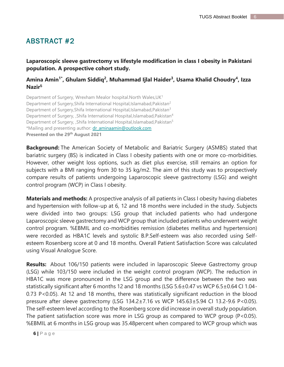<span id="page-6-0"></span>**Laparoscopic sleeve gastrectomy vs lifestyle modification in class I obesity in Pakistani population. A prospective cohort study.** 

### **[Amina Amin](https://pubmed.ncbi.nlm.nih.gov/?term=Amin+A&cauthor_id=31501724)1\* , [Ghulam Siddiq](https://pubmed.ncbi.nlm.nih.gov/?term=Siddiq+G&cauthor_id=31501724)<sup>2</sup> , [Muhammad Ijlal Haider](https://pubmed.ncbi.nlm.nih.gov/?term=Haider+MI&cauthor_id=31501724)<sup>3</sup> , [Usama Khalid Choudry](https://pubmed.ncbi.nlm.nih.gov/?term=Khalid+Choudry+U&cauthor_id=31501724)<sup>4</sup> , [Izza](https://pubmed.ncbi.nlm.nih.gov/?term=Nazir+I&cauthor_id=31501724)  [Nazir](https://pubmed.ncbi.nlm.nih.gov/?term=Nazir+I&cauthor_id=31501724)<sup>5</sup>**

Department of Surgery, Wrexham Mealor hospital.North Wales, UK<sup>1</sup> Department of Surgery, Shifa International Hospital, Islamabad, Pakistan<sup>2</sup> Department of Surgery, Shifa International Hospital, Islamabad, Pakistan<sup>3</sup> Department of Surgery, ,Shifa International Hospital,Islamabad,Pakistan<sup>4</sup> Department of Surgery, , Shifa International Hospital, Islamabad, Pakistan<sup>5</sup> \*Mailing and presenting author: dr\_aminaamin@outlook.com **Presented on the 29 th August 2021**

**Background:** The American Society of Metabolic and Bariatric Surgery (ASMBS) stated that bariatric surgery (BS) is indicated in Class I obesity patients with one or more co-morbidities. However, other weight loss options, such as diet plus exercise, still remains an option for subjects with a BMI ranging from 30 to 35 kg/m2. The aim of this study was to prospectively compare results of patients undergoing Laparoscopic sleeve gastrectomy (LSG) and weight control program (WCP) in Class I obesity.

**Materials and methods:** A prospective analysis of all patients in Class I obesity having diabetes and hypertension with follow-up at 6, 12 and 18 months were included in the study. Subjects were divided into two groups: LSG group that included patients who had undergone Laparoscopic sleeve gastrectomy and WCP group that included patients who underwent weight control program. %EBMIL and co-morbidities remission (diabetes mellitus and hypertension) were recorded as HBA1C levels and systolic B.P.Self-esteem was also recorded using Selfesteem Rosenberg score at 0 and 18 months. Overall Patient Satisfaction Score was calculated using Visual Analogue Score.

**Results:** About 106/150 patients were included in laparoscopic Sleeve Gastrectomy group (LSG) while 103/150 were included in the weight control program (WCP). The reduction in HBA1C was more pronounced in the LSG group and the difference between the two was statistically significant after 6 months 12 and 18 months (LSG 5.6±0.47 vs WCP 6.5±0.64 CI 1.04- 0.73 P<0.05). At 12 and 18 months, there was statistically significant reduction in the blood pressure after sleeve gastrectomy (LSG 134.2±7.16 vs WCP 145.63±5.94 CI 13.2-9.6 P<0.05). The self-esteem level according to the Rosenberg score did increase in overall study population. The patient satisfaction score was more in LSG group as compared to WCP group (P<0.05). %EBMIL at 6 months in LSG group was 35.48percent when compared to WCP group which was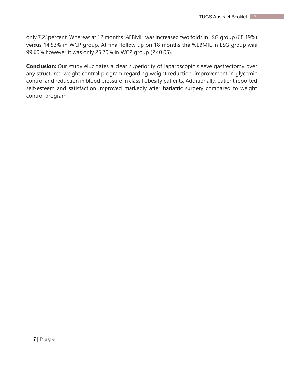only 7.23percent. Whereas at 12 months %EBMIL was increased two folds in LSG group (68.19%) versus 14.53% in WCP group. At final follow up on 18 months the %EBMIL in LSG group was 99.60% however it was only 25.70% in WCP group (P<0.05).

**Conclusion:** Our study elucidates a clear superiority of laparoscopic sleeve gastrectomy over any structured weight control program regarding weight reduction, improvement in glycemic control and reduction in blood pressure in class I obesity patients. Additionally, patient reported self-esteem and satisfaction improved markedly after bariatric surgery compared to weight control program.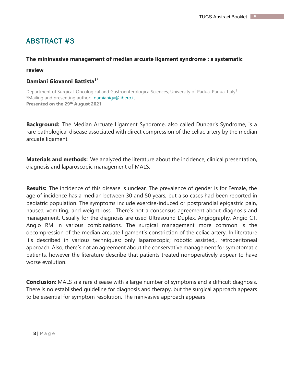#### <span id="page-8-0"></span>**The mininvasive management of median arcuate ligament syndrome : a systematic**

#### **review**

#### **Damiani Giovanni Battista1\***

Department of Surgical, Oncological and Gastroenterologica Sciences, University of Padua, Padua, Italy<sup>1</sup> \*Mailing and presenting author: damianigv@libero.it **Presented on the 29 th August 2021**

**Background:** The Median Arcuate Ligament Syndrome, also called Dunbar's Syndrome, is a rare pathological disease associated with direct compression of the celiac artery by the median arcuate ligament.

**Materials and methods:** We analyzed the literature about the incidence, clinical presentation, diagnosis and laparoscopic management of MALS.

**Results:** The incidence of this disease is unclear. The prevalence of gender is for Female, the age of incidence has a median between 30 and 50 years, but also cases had been reported in pediatric population. The symptoms include exercise-induced or postprandial epigastric pain, nausea, vomiting, and weight loss. There's not a consensus agreement about diagnosis and management. Usually for the diagnosis are used Ultrasound Duplex, Angiography, Angio CT, Angio RM in various combinations. The surgical management more common is the decompression of the median arcuate ligament's constriction of the celiac artery. In literature it's described in various techniques: only laparoscopic; robotic assisted,, retroperitoneal approach. Also, there's not an agreement about the conservative management for symptomatic patients, however the literature describe that patients treated nonoperatively appear to have worse evolution.

**Conclusion:** MALS si a rare disease with a large number of symptoms and a difficult diagnosis. There is no established guideline for diagnosis and therapy, but the surgical approach appears to be essential for symptom resolution. The minivasive approach appears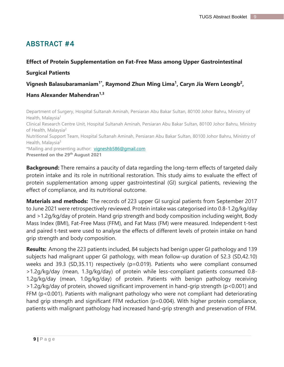### <span id="page-9-0"></span>**Effect of Protein Supplementation on Fat-Free Mass among Upper Gastrointestinal**

### **Surgical Patients**

### **Vignesh Balasubaramaniam1\* , Raymond Zhun Ming Lima 1 , Caryn Jia Wern Leongb 2 ,**

### **Hans Alexander Mahendran1,3**

Department of Surgery, Hospital Sultanah Aminah, Persiaran Abu Bakar Sultan, 80100 Johor Bahru, Ministry of Health, Malaysia<sup>1</sup> Clinical Research Centre Unit, Hospital Sultanah Aminah, Persiaran Abu Bakar Sultan, 80100 Johor Bahru, Ministry of Health, Malaysia<sup>2</sup> Nutritional Support Team, Hospital Sultanah Aminah, Persiaran Abu Bakar Sultan, 80100 Johor Bahru, Ministry of Health, Malaysia<sup>3</sup> \*Mailing and presenting author: vigneshb586@gmail.com **Presented on the 29 th August 2021**

**Background:** There remains a paucity of data regarding the long-term effects of targeted daily protein intake and its role in nutritional restoration. This study aims to evaluate the effect of protein supplementation among upper gastrointestinal (GI) surgical patients, reviewing the effect of compliance, and its nutritional outcome.

**Materials and methods:** The records of 223 upper GI surgical patients from September 2017 to June 2021 were retrospectively reviewed. Protein intake was categorised into 0.8-1.2g/kg/day and >1.2g/kg/day of protein. Hand grip strength and body composition including weight, Body Mass Index (BMI), Fat-Free Mass (FFM), and Fat Mass (FM) were measured. Independent t-test and paired t-test were used to analyse the effects of different levels of protein intake on hand grip strength and body composition.

**Results:** Among the 223 patients included, 84 subjects had benign upper GI pathology and 139 subjects had malignant upper GI pathology, with mean follow-up duration of 52.3 (SD,42.10) weeks and 39.3 (SD,35.11) respectively (p=0.019). Patients who were compliant consumed >1.2g/kg/day (mean, 1.3g/kg/day) of protein while less-compliant patients consumed 0.8- 1.2g/kg/day (mean, 1.0g/kg/day) of protein. Patients with benign pathology receiving >1.2g/kg/day of protein, showed significant improvement in hand-grip strength (p<0.001) and FFM (p<0.001). Patients with malignant pathology who were not compliant had deteriorating hand grip strength and significant FFM reduction (p=0.004). With higher protein compliance, patients with malignant pathology had increased hand-grip strength and preservation of FFM.